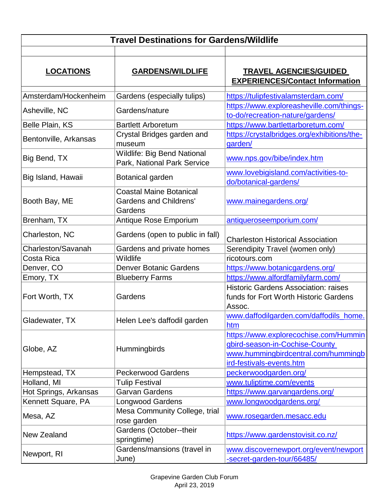| <b>Travel Destinations for Gardens/Wildlife</b> |                                                                            |                                                                                                                                            |  |
|-------------------------------------------------|----------------------------------------------------------------------------|--------------------------------------------------------------------------------------------------------------------------------------------|--|
| <b>LOCATIONS</b>                                | <b>GARDENS/WILDLIFE</b>                                                    | <b>TRAVEL AGENCIES/GUIDED</b><br><b>EXPERIENCES/Contact Information</b>                                                                    |  |
| Amsterdam/Hockenheim                            | Gardens (especially tulips)                                                | https://tulipfestivalamsterdam.com/                                                                                                        |  |
| Asheville, NC                                   | Gardens/nature                                                             | https://www.exploreasheville.com/things-<br>to-do/recreation-nature/gardens/                                                               |  |
| Belle Plain, KS                                 | <b>Bartlett Arboretum</b>                                                  | https://www.bartlettarboretum.com/                                                                                                         |  |
| Bentonville, Arkansas                           | Crystal Bridges garden and<br>museum                                       | https://crystalbridges.org/exhibitions/the-<br>garden/                                                                                     |  |
| Big Bend, TX                                    | <b>Wildlife: Big Bend National</b><br>Park, National Park Service          | www.nps.gov/bibe/index.htm                                                                                                                 |  |
| Big Island, Hawaii                              | Botanical garden                                                           | www.lovebigisland.com/activities-to-<br>do/botanical-gardens/                                                                              |  |
| Booth Bay, ME                                   | <b>Coastal Maine Botanical</b><br><b>Gardens and Childrens'</b><br>Gardens | www.mainegardens.org/                                                                                                                      |  |
| Brenham, TX                                     | Antique Rose Emporium                                                      | antiqueroseemporium.com/                                                                                                                   |  |
| Charleston, NC                                  | Gardens (open to public in fall)                                           | <b>Charleston Historical Association</b>                                                                                                   |  |
| Charleston/Savanah                              | Gardens and private homes                                                  | Serendipity Travel (women only)                                                                                                            |  |
| Costa Rica                                      | Wildlife                                                                   | ricotours.com                                                                                                                              |  |
| Denver, CO                                      | <b>Denver Botanic Gardens</b>                                              | https://www.botanicgardens.org/                                                                                                            |  |
| Emory, TX                                       | <b>Blueberry Farms</b>                                                     | https://www.alfordfamilyfarm.com/                                                                                                          |  |
| Fort Worth, TX                                  | Gardens                                                                    | <b>Historic Gardens Association: raises</b><br>funds for Fort Worth Historic Gardens<br>Assoc.                                             |  |
| Gladewater, TX                                  | Helen Lee's daffodil garden                                                | www.daffodilgarden.com/daffodils_home.<br>htm                                                                                              |  |
| Globe, AZ                                       | Hummingbirds                                                               | https://www.explorecochise.com/Hummin<br>gbird-season-in-Cochise-County<br>www.hummingbirdcentral.com/hummingb<br>ird-festivals-events.htm |  |
| Hempstead, TX                                   | <b>Peckerwood Gardens</b>                                                  | peckerwoodgarden.org/                                                                                                                      |  |
| Holland, MI                                     | <b>Tulip Festival</b>                                                      | www.tuliptime.com/events                                                                                                                   |  |
| Hot Springs, Arkansas                           | <b>Garvan Gardens</b>                                                      | https://www.garvangardens.org/                                                                                                             |  |
| Kennett Square, PA                              | <b>Longwood Gardens</b>                                                    | www.longwoodgardens.org/                                                                                                                   |  |
| Mesa, AZ                                        | Mesa Community College, trial<br>rose garden                               | www.rosegarden.mesacc.edu                                                                                                                  |  |
| <b>New Zealand</b>                              | Gardens (October--their<br>springtime)                                     | https://www.gardenstovisit.co.nz/                                                                                                          |  |
| Newport, RI                                     | Gardens/mansions (travel in<br>June)                                       | www.discovernewport.org/event/newport<br>-secret-garden-tour/66485/                                                                        |  |